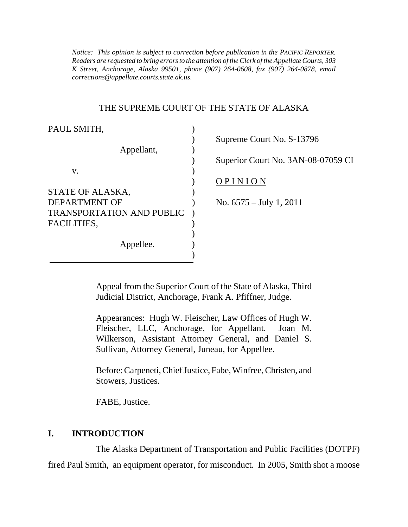*Notice: This opinion is subject to correction before publication in the PACIFIC REPORTER. Readers are requested to bring errors to the attention of the Clerk of the Appellate Courts, 303 K Street, Anchorage, Alaska 99501, phone (907) 264-0608, fax (907) 264-0878, email corrections@appellate.courts.state.ak.us*.

#### THE SUPREME COURT OF THE STATE OF ALASKA

| PAUL SMITH,                      |                                    |
|----------------------------------|------------------------------------|
|                                  | Supreme Court No. S-13796          |
| Appellant,                       |                                    |
|                                  | Superior Court No. 3AN-08-07059 CI |
| V.                               |                                    |
|                                  | OPINION                            |
| STATE OF ALASKA,                 |                                    |
| <b>DEPARTMENT OF</b>             | No. $6575 - July 1, 2011$          |
| <b>TRANSPORTATION AND PUBLIC</b> |                                    |
| FACILITIES,                      |                                    |
|                                  |                                    |
| Appellee.                        |                                    |
|                                  |                                    |

Appeal from the Superior Court of the State of Alaska, Third Judicial District, Anchorage, Frank A. Pfiffner, Judge.

Appearances: Hugh W. Fleischer, Law Offices of Hugh W. Fleischer, LLC, Anchorage, for Appellant. Joan M. Wilkerson, Assistant Attorney General, and Daniel S. Sullivan, Attorney General, Juneau, for Appellee.

Before: Carpeneti, Chief Justice, Fabe, Winfree, Christen, and Stowers, Justices.

FABE, Justice.

#### **I. INTRODUCTION**

The Alaska Department of Transportation and Public Facilities (DOTPF) fired Paul Smith, an equipment operator, for misconduct. In 2005, Smith shot a moose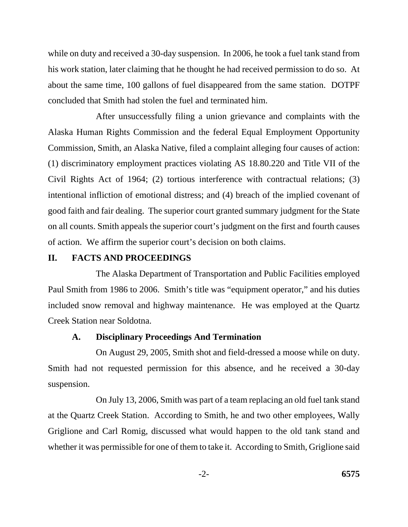while on duty and received a 30-day suspension. In 2006, he took a fuel tank stand from his work station, later claiming that he thought he had received permission to do so. At about the same time, 100 gallons of fuel disappeared from the same station. DOTPF concluded that Smith had stolen the fuel and terminated him.

After unsuccessfully filing a union grievance and complaints with the Alaska Human Rights Commission and the federal Equal Employment Opportunity Commission, Smith, an Alaska Native, filed a complaint alleging four causes of action: (1) discriminatory employment practices violating AS 18.80.220 and Title VII of the Civil Rights Act of 1964; (2) tortious interference with contractual relations; (3) intentional infliction of emotional distress; and (4) breach of the implied covenant of good faith and fair dealing. The superior court granted summary judgment for the State on all counts. Smith appeals the superior court's judgment on the first and fourth causes of action. We affirm the superior court's decision on both claims.

### **II. FACTS AND PROCEEDINGS**

The Alaska Department of Transportation and Public Facilities employed Paul Smith from 1986 to 2006. Smith's title was "equipment operator," and his duties included snow removal and highway maintenance. He was employed at the Quartz Creek Station near Soldotna.

#### **A. Disciplinary Proceedings And Termination**

On August 29, 2005, Smith shot and field-dressed a moose while on duty. Smith had not requested permission for this absence, and he received a 30-day suspension.

On July 13, 2006, Smith was part of a team replacing an old fuel tank stand at the Quartz Creek Station. According to Smith, he and two other employees, Wally Griglione and Carl Romig, discussed what would happen to the old tank stand and whether it was permissible for one of them to take it. According to Smith, Griglione said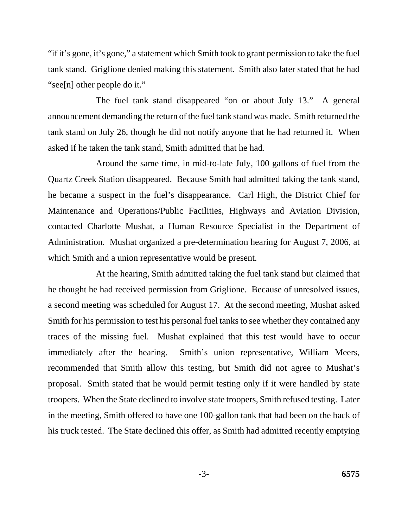"if it's gone, it's gone," a statement which Smith took to grant permission to take the fuel tank stand. Griglione denied making this statement. Smith also later stated that he had "see[n] other people do it."

The fuel tank stand disappeared "on or about July 13." A general announcement demanding the return of the fuel tank stand was made. Smith returned the tank stand on July 26, though he did not notify anyone that he had returned it. When asked if he taken the tank stand, Smith admitted that he had.

Around the same time, in mid-to-late July, 100 gallons of fuel from the Quartz Creek Station disappeared. Because Smith had admitted taking the tank stand, he became a suspect in the fuel's disappearance. Carl High, the District Chief for Maintenance and Operations/Public Facilities, Highways and Aviation Division, contacted Charlotte Mushat, a Human Resource Specialist in the Department of Administration. Mushat organized a pre-determination hearing for August 7, 2006, at which Smith and a union representative would be present.

At the hearing, Smith admitted taking the fuel tank stand but claimed that he thought he had received permission from Griglione. Because of unresolved issues, a second meeting was scheduled for August 17. At the second meeting, Mushat asked Smith for his permission to test his personal fuel tanks to see whether they contained any traces of the missing fuel. Mushat explained that this test would have to occur immediately after the hearing. Smith's union representative, William Meers, recommended that Smith allow this testing, but Smith did not agree to Mushat's proposal. Smith stated that he would permit testing only if it were handled by state troopers. When the State declined to involve state troopers, Smith refused testing. Later in the meeting, Smith offered to have one 100-gallon tank that had been on the back of his truck tested. The State declined this offer, as Smith had admitted recently emptying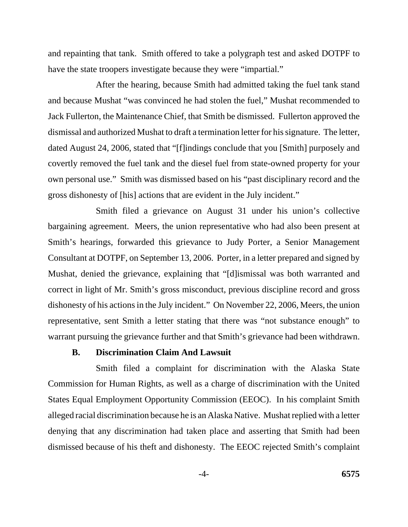and repainting that tank. Smith offered to take a polygraph test and asked DOTPF to have the state troopers investigate because they were "impartial."

After the hearing, because Smith had admitted taking the fuel tank stand and because Mushat "was convinced he had stolen the fuel," Mushat recommended to Jack Fullerton, the Maintenance Chief, that Smith be dismissed. Fullerton approved the dismissal and authorized Mushat to draft a termination letter for his signature. The letter, dated August 24, 2006, stated that "[f]indings conclude that you [Smith] purposely and covertly removed the fuel tank and the diesel fuel from state-owned property for your own personal use." Smith was dismissed based on his "past disciplinary record and the gross dishonesty of [his] actions that are evident in the July incident."

Smith filed a grievance on August 31 under his union's collective bargaining agreement. Meers, the union representative who had also been present at Smith's hearings, forwarded this grievance to Judy Porter, a Senior Management Consultant at DOTPF, on September 13, 2006. Porter, in a letter prepared and signed by Mushat, denied the grievance, explaining that "[d]ismissal was both warranted and correct in light of Mr. Smith's gross misconduct, previous discipline record and gross dishonesty of his actions in the July incident." On November 22, 2006, Meers, the union representative, sent Smith a letter stating that there was "not substance enough" to warrant pursuing the grievance further and that Smith's grievance had been withdrawn.

#### **B. Discrimination Claim And Lawsuit**

Smith filed a complaint for discrimination with the Alaska State Commission for Human Rights, as well as a charge of discrimination with the United States Equal Employment Opportunity Commission (EEOC). In his complaint Smith alleged racial discrimination because he is an Alaska Native. Mushat replied with a letter denying that any discrimination had taken place and asserting that Smith had been dismissed because of his theft and dishonesty. The EEOC rejected Smith's complaint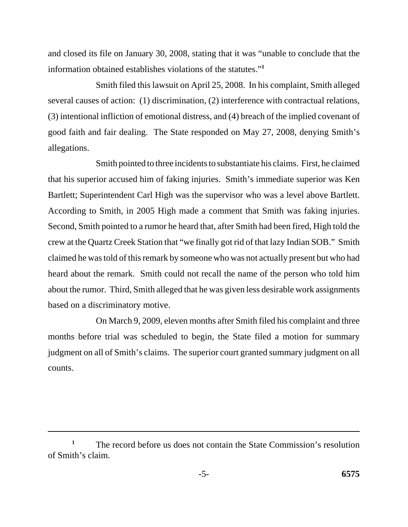and closed its file on January 30, 2008, stating that it was "unable to conclude that the information obtained establishes violations of the statutes."**<sup>1</sup>**

Smith filed this lawsuit on April 25, 2008. In his complaint, Smith alleged several causes of action: (1) discrimination, (2) interference with contractual relations, (3) intentional infliction of emotional distress, and (4) breach of the implied covenant of good faith and fair dealing. The State responded on May 27, 2008, denying Smith's allegations.

Smith pointed to three incidents to substantiate his claims. First, he claimed that his superior accused him of faking injuries. Smith's immediate superior was Ken Bartlett; Superintendent Carl High was the supervisor who was a level above Bartlett. According to Smith, in 2005 High made a comment that Smith was faking injuries. Second, Smith pointed to a rumor he heard that, after Smith had been fired, High told the crew at the Quartz Creek Station that "we finally got rid of that lazy Indian SOB." Smith claimed he was told of this remark by someone who was not actually present but who had heard about the remark. Smith could not recall the name of the person who told him about the rumor. Third, Smith alleged that he was given less desirable work assignments based on a discriminatory motive.

On March 9, 2009, eleven months after Smith filed his complaint and three months before trial was scheduled to begin, the State filed a motion for summary judgment on all of Smith's claims. The superior court granted summary judgment on all counts.

The record before us does not contain the State Commission's resolution of Smith's claim. **1**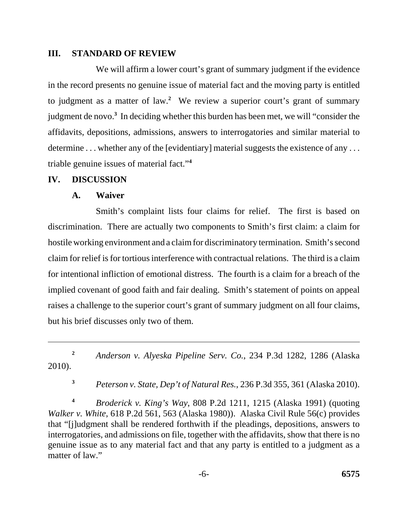### **III. STANDARD OF REVIEW**

We will affirm a lower court's grant of summary judgment if the evidence in the record presents no genuine issue of material fact and the moving party is entitled to judgment as a matter of law.**<sup>2</sup>** We review a superior court's grant of summary judgment de novo.**<sup>3</sup>** In deciding whether this burden has been met, we will "consider the affidavits, depositions, admissions, answers to interrogatories and similar material to determine ... whether any of the [evidentiary] material suggests the existence of any ... triable genuine issues of material fact."**<sup>4</sup>**

### **IV. DISCUSSION**

## **A. Waiver**

Smith's complaint lists four claims for relief. The first is based on discrimination. There are actually two components to Smith's first claim: a claim for hostile working environment and a claim for discriminatory termination. Smith's second claim for relief is for tortious interference with contractual relations. The third is a claim for intentional infliction of emotional distress. The fourth is a claim for a breach of the implied covenant of good faith and fair dealing. Smith's statement of points on appeal raises a challenge to the superior court's grant of summary judgment on all four claims, but his brief discusses only two of them.

**<sup>2</sup>***Anderson v. Alyeska Pipeline Serv. Co.*, 234 P.3d 1282, 1286 (Alaska 2010).

**<sup>3</sup>***Peterson v. State, Dep't of Natural Res.*, 236 P.3d 355, 361 (Alaska 2010).

**<sup>4</sup>***Broderick v. King's Way*, 808 P.2d 1211, 1215 (Alaska 1991) (quoting *Walker v. White*, 618 P.2d 561, 563 (Alaska 1980)). Alaska Civil Rule 56(c) provides that "[j]udgment shall be rendered forthwith if the pleadings, depositions, answers to interrogatories, and admissions on file, together with the affidavits, show that there is no genuine issue as to any material fact and that any party is entitled to a judgment as a matter of law."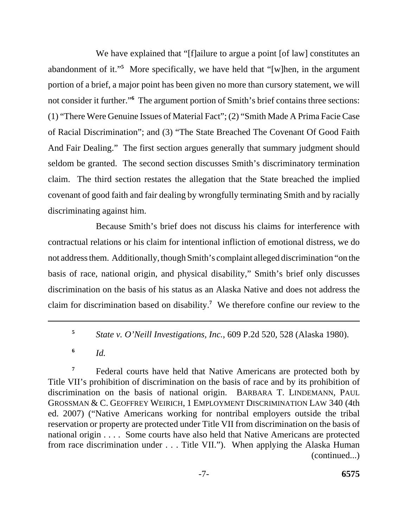We have explained that "[f]ailure to argue a point [of law] constitutes an abandonment of it."**<sup>5</sup>** More specifically, we have held that "[w]hen, in the argument portion of a brief, a major point has been given no more than cursory statement, we will not consider it further."**<sup>6</sup>** The argument portion of Smith's brief contains three sections: (1) "There Were Genuine Issues of Material Fact"; (2) "Smith Made A Prima Facie Case of Racial Discrimination"; and (3) "The State Breached The Covenant Of Good Faith And Fair Dealing." The first section argues generally that summary judgment should seldom be granted. The second section discusses Smith's discriminatory termination claim. The third section restates the allegation that the State breached the implied covenant of good faith and fair dealing by wrongfully terminating Smith and by racially discriminating against him.

Because Smith's brief does not discuss his claims for interference with contractual relations or his claim for intentional infliction of emotional distress, we do not address them. Additionally, though Smith's complaint alleged discrimination "on the basis of race, national origin, and physical disability," Smith's brief only discusses discrimination on the basis of his status as an Alaska Native and does not address the claim for discrimination based on disability.**<sup>7</sup>** We therefore confine our review to the

**<sup>5</sup>***State v. O'Neill Investigations, Inc.*, 609 P.2d 520, 528 (Alaska 1980).

**<sup>6</sup>***Id.* 

 GROSSMAN & C. GEOFFREY WEIRICH, 1 EMPLOYMENT DISCRIMINATION LAW 340 (4th <sup>7</sup> Federal courts have held that Native Americans are protected both by Title VII's prohibition of discrimination on the basis of race and by its prohibition of discrimination on the basis of national origin. BARBARA T. LINDEMANN, PAUL ed. 2007) ("Native Americans working for nontribal employers outside the tribal reservation or property are protected under Title VII from discrimination on the basis of national origin . . . . Some courts have also held that Native Americans are protected from race discrimination under . . . Title VII."). When applying the Alaska Human (continued...)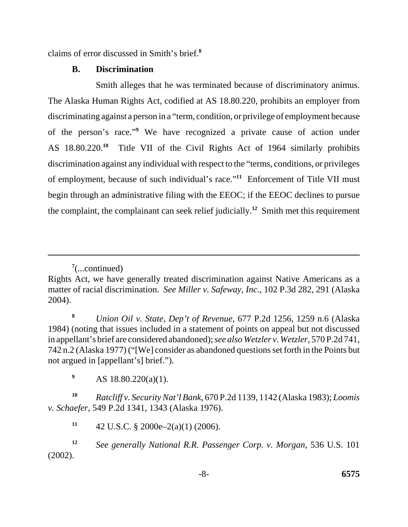claims of error discussed in Smith's brief.**<sup>8</sup>**

## **B. Discrimination**

Smith alleges that he was terminated because of discriminatory animus. The Alaska Human Rights Act, codified at AS 18.80.220, prohibits an employer from discriminating against a person in a "term, condition, or privilege of employment because of the person's race."**<sup>9</sup>** We have recognized a private cause of action under AS 18.80.220.**<sup>10</sup>** Title VII of the Civil Rights Act of 1964 similarly prohibits discrimination against any individual with respect to the "terms, conditions, or privileges of employment, because of such individual's race."**<sup>11</sup>** Enforcement of Title VII must begin through an administrative filing with the EEOC; if the EEOC declines to pursue the complaint, the complainant can seek relief judicially.**<sup>12</sup>** Smith met this requirement

**<sup>8</sup>***Union Oil v. State, Dep't of Revenue*, 677 P.2d 1256, 1259 n.6 (Alaska 1984) (noting that issues included in a statement of points on appeal but not discussed in appellant's brief are considered abandoned); *see also Wetzler v. Wetzler*, 570 P.2d 741, 742 n.2 (Alaska 1977) ("[We] consider as abandoned questions set forth in the Points but not argued in [appellant's] brief.").

<sup>9</sup> AS 18.80.220(a)(1).

**<sup>10</sup>***Ratcliff v. Security Nat'l Bank*, 670 P.2d 1139, 1142 (Alaska 1983); *Loomis v. Schaefer*, 549 P.2d 1341, 1343 (Alaska 1976).

11  $42 \text{ U.S.C. }$  § 2000e–2(a)(1) (2006).

**<sup>12</sup>***See generally National R.R. Passenger Corp. v. Morgan*, 536 U.S. 101 (2002).

**<sup>7</sup>** (...continued)

Rights Act, we have generally treated discrimination against Native Americans as a matter of racial discrimination. *See Miller v. Safeway, Inc.*, 102 P.3d 282, 291 (Alaska 2004).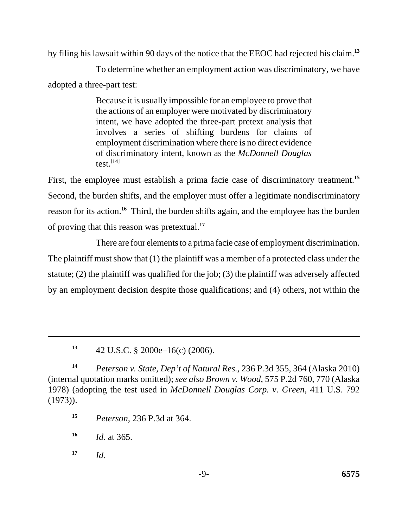by filing his lawsuit within 90 days of the notice that the EEOC had rejected his claim.**<sup>13</sup>**

To determine whether an employment action was discriminatory, we have adopted a three-part test:

> Because it is usually impossible for an employee to prove that the actions of an employer were motivated by discriminatory intent, we have adopted the three-part pretext analysis that involves a series of shifting burdens for claims of employment discrimination where there is no direct evidence of discriminatory intent, known as the *McDonnell Douglas*  test. $[14]$

First, the employee must establish a prima facie case of discriminatory treatment.**<sup>15</sup>** Second, the burden shifts, and the employer must offer a legitimate nondiscriminatory reason for its action.**<sup>16</sup>** Third, the burden shifts again, and the employee has the burden of proving that this reason was pretextual.**<sup>17</sup>**

There are four elements to a prima facie case of employment discrimination. The plaintiff must show that (1) the plaintiff was a member of a protected class under the statute; (2) the plaintiff was qualified for the job; (3) the plaintiff was adversely affected by an employment decision despite those qualifications; and (4) others, not within the

**<sup>14</sup>***Peterson v. State, Dep't of Natural Res.*, 236 P.3d 355, 364 (Alaska 2010) (internal quotation marks omitted); *see also Brown v. Wood*, 575 P.2d 760, 770 (Alaska 1978) (adopting the test used in *McDonnell Douglas Corp. v. Green*, 411 U.S. 792 (1973)).

**<sup>15</sup>***Peterson*, 236 P.3d at 364.

**<sup>16</sup>***Id.* at 365.

 $17$  *Id.* 

**<sup>13</sup>**42 U.S.C. § 2000e–16(c) (2006).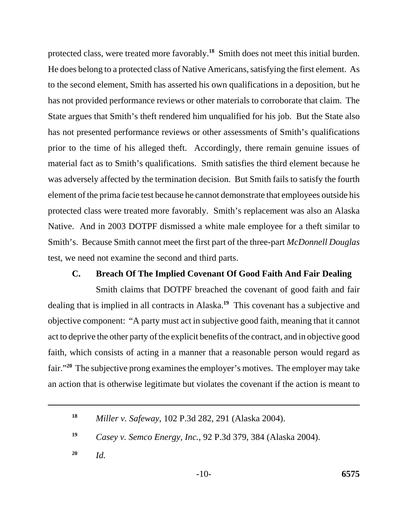protected class, were treated more favorably.**<sup>18</sup>** Smith does not meet this initial burden. He does belong to a protected class of Native Americans, satisfying the first element. As to the second element, Smith has asserted his own qualifications in a deposition, but he has not provided performance reviews or other materials to corroborate that claim. The State argues that Smith's theft rendered him unqualified for his job. But the State also has not presented performance reviews or other assessments of Smith's qualifications prior to the time of his alleged theft. Accordingly, there remain genuine issues of material fact as to Smith's qualifications. Smith satisfies the third element because he was adversely affected by the termination decision. But Smith fails to satisfy the fourth element of the prima facie test because he cannot demonstrate that employees outside his protected class were treated more favorably. Smith's replacement was also an Alaska Native. And in 2003 DOTPF dismissed a white male employee for a theft similar to Smith's. Because Smith cannot meet the first part of the three-part *McDonnell Douglas*  test, we need not examine the second and third parts.

## **C. Breach Of The Implied Covenant Of Good Faith And Fair Dealing**

Smith claims that DOTPF breached the covenant of good faith and fair dealing that is implied in all contracts in Alaska.**<sup>19</sup>** This covenant has a subjective and objective component: "A party must act in subjective good faith, meaning that it cannot act to deprive the other party of the explicit benefits of the contract, and in objective good faith, which consists of acting in a manner that a reasonable person would regard as fair."**<sup>20</sup>** The subjective prong examines the employer's motives. The employer may take an action that is otherwise legitimate but violates the covenant if the action is meant to

**20**  *Id.* 

**<sup>18</sup>**  *Miller v. Safeway*, 102 P.3d 282, 291 (Alaska 2004).

**<sup>19</sup>**  *Casey v. Semco Energy, Inc.*, 92 P.3d 379, 384 (Alaska 2004).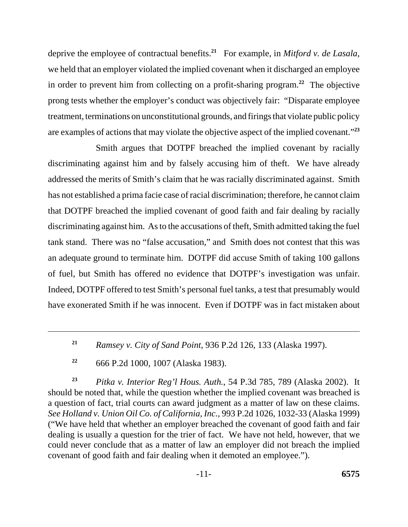deprive the employee of contractual benefits.**<sup>21</sup>** For example, in *Mitford v. de Lasala*, we held that an employer violated the implied covenant when it discharged an employee in order to prevent him from collecting on a profit-sharing program.**<sup>22</sup>** The objective prong tests whether the employer's conduct was objectively fair: "Disparate employee treatment, terminations on unconstitutional grounds, and firings that violate public policy are examples of actions that may violate the objective aspect of the implied covenant."**<sup>23</sup>**

Smith argues that DOTPF breached the implied covenant by racially discriminating against him and by falsely accusing him of theft. We have already addressed the merits of Smith's claim that he was racially discriminated against. Smith has not established a prima facie case of racial discrimination; therefore, he cannot claim that DOTPF breached the implied covenant of good faith and fair dealing by racially discriminating against him. As to the accusations of theft, Smith admitted taking the fuel tank stand. There was no "false accusation," and Smith does not contest that this was an adequate ground to terminate him. DOTPF did accuse Smith of taking 100 gallons of fuel, but Smith has offered no evidence that DOTPF's investigation was unfair. Indeed, DOTPF offered to test Smith's personal fuel tanks, a test that presumably would have exonerated Smith if he was innocent. Even if DOTPF was in fact mistaken about

**<sup>21</sup>***Ramsey v. City of Sand Point*, 936 P.2d 126, 133 (Alaska 1997).

**<sup>22</sup>**666 P.2d 1000, 1007 (Alaska 1983).

**<sup>23</sup>***Pitka v. Interior Reg'l Hous. Auth.*, 54 P.3d 785, 789 (Alaska 2002). It should be noted that, while the question whether the implied covenant was breached is a question of fact, trial courts can award judgment as a matter of law on these claims. *See Holland v. Union Oil Co. of California, Inc.*, 993 P.2d 1026, 1032-33 (Alaska 1999) ("We have held that whether an employer breached the covenant of good faith and fair dealing is usually a question for the trier of fact. We have not held, however, that we could never conclude that as a matter of law an employer did not breach the implied covenant of good faith and fair dealing when it demoted an employee.").